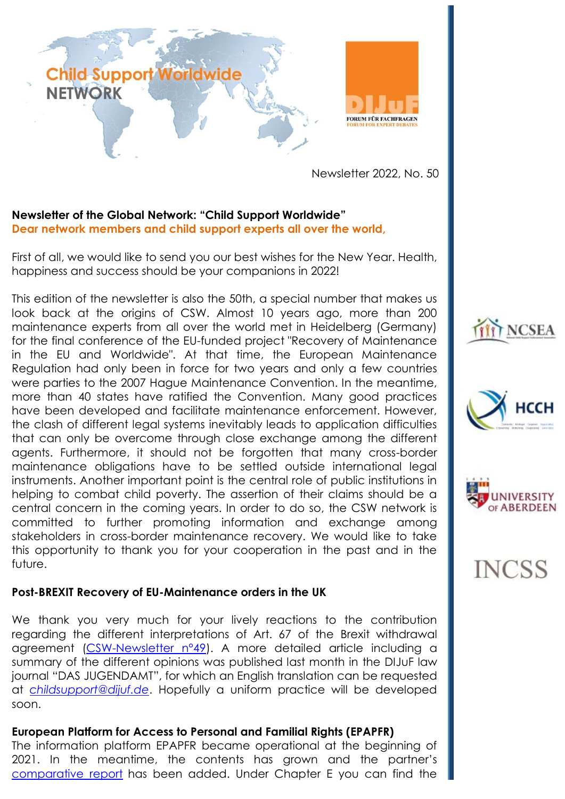

Newsletter 2022, No. 50

# **Newsletter of the Global Network: "Child Support Worldwide" Dear network members and child support experts all over the world,**

First of all, we would like to send you our best wishes for the New Year. Health, happiness and success should be your companions in 2022!

This edition of the newsletter is also the 50th, a special number that makes us look back at the origins of CSW. Almost 10 years ago, more than 200 maintenance experts from all over the world met in Heidelberg (Germany) for the final conference of the EU-funded project "Recovery of Maintenance in the EU and Worldwide". At that time, the European Maintenance Regulation had only been in force for two years and only a few countries were parties to the 2007 Hague Maintenance Convention. In the meantime, more than 40 states have ratified the Convention. Many good practices have been developed and facilitate maintenance enforcement. However, the clash of different legal systems inevitably leads to application difficulties that can only be overcome through close exchange among the different agents. Furthermore, it should not be forgotten that many cross-border maintenance obligations have to be settled outside international legal instruments. Another important point is the central role of public institutions in helping to combat child poverty. The assertion of their claims should be a central concern in the coming years. In order to do so, the CSW network is committed to further promoting information and exchange among stakeholders in cross-border maintenance recovery. We would like to take this opportunity to thank you for your cooperation in the past and in the future.

### **Post-BREXIT Recovery of EU-Maintenance orders in the UK**

We thank you very much for your lively reactions to the contribution regarding the different interpretations of Art. 67 of the Brexit withdrawal agreement [\(CSW-Newsletter n°49\)](https://www.childsupport-worldwide.org/tl_files/bilder/Newsletter/Newsletter_n_49.pdf). A more detailed article including a summary of the different opinions was published last month in the DIJuF law journal "DAS JUGENDAMT", for which an English translation can be requested at *[childsupport@dijuf.de](mailto:childsupport@dijuf.de)*. Hopefully a uniform practice will be developed soon.

### **European Platform for Access to Personal and Familial Rights (EPAPFR)**

The information platform EPAPFR became operational at the beginning of 2021. In the meantime, the contents has grown and the partner's [comparative report](https://epapfr.com/en/comparative-report/) has been added. Under Chapter E you can find the







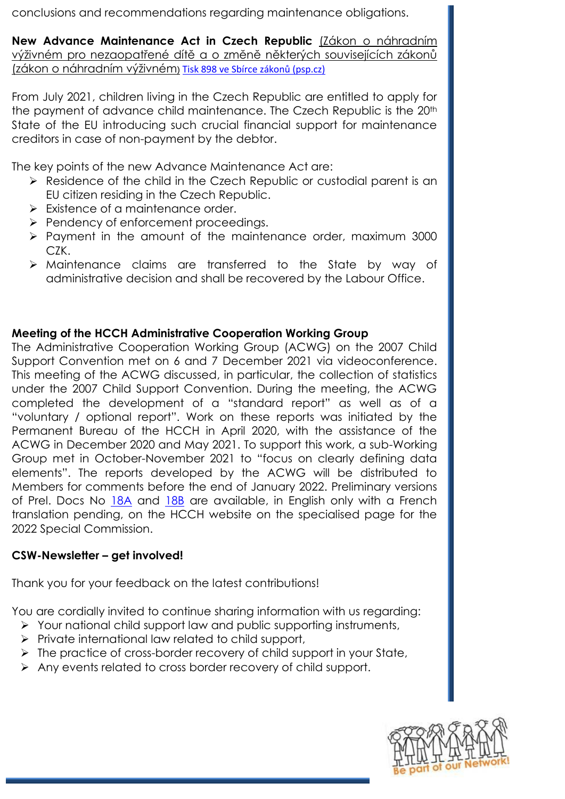conclusions and recommendations regarding maintenance obligations.

**New Advance Maintenance Act in Czech Republic** (Zákon o náhradním výživném pro nezaopatřené dítě a o změně některých souvisejících zákonů (zákon o náhradním výživném) [Tisk 898 ve Sbírce zákonů \(psp.cz\)](https://www.psp.cz/sqw/sbirka.sqw?o=8&T=898)

From July 2021, children living in the Czech Republic are entitled to apply for the payment of advance child maintenance. The Czech Republic is the 20<sup>th</sup> State of the EU introducing such crucial financial support for maintenance creditors in case of non-payment by the debtor.

The key points of the new Advance Maintenance Act are:

- $\triangleright$  Residence of the child in the Czech Republic or custodial parent is an EU citizen residing in the Czech Republic.
- $\triangleright$  Existence of a maintenance order.
- $\triangleright$  Pendency of enforcement proceedings.
- $\triangleright$  Payment in the amount of the maintenance order, maximum 3000 CZK.
- Maintenance claims are transferred to the State by way of administrative decision and shall be recovered by the Labour Office.

# **Meeting of the HCCH Administrative Cooperation Working Group**

The Administrative Cooperation Working Group (ACWG) on the 2007 Child Support Convention met on 6 and 7 December 2021 via videoconference. This meeting of the ACWG discussed, in particular, the collection of statistics under the 2007 Child Support Convention. During the meeting, the ACWG completed the development of a "standard report" as well as of a "voluntary / optional report". Work on these reports was initiated by the Permanent Bureau of the HCCH in April 2020, with the assistance of the ACWG in December 2020 and May 2021. To support this work, a sub-Working Group met in October-November 2021 to "focus on clearly defining data elements". The reports developed by the ACWG will be distributed to Members for comments before the end of January 2022. Preliminary versions of Prel. Docs No  $18A$  and  $18B$  are available, in English only with a French translation pending, on the HCCH website on the specialised page for the 2022 Special Commission.

## **CSW-Newsletter – get involved!**

Thank you for your feedback on the latest contributions!

You are cordially invited to continue sharing information with us regarding:

- $\triangleright$  Your national child support law and public supporting instruments,
- $\triangleright$  Private international law related to child support,
- $\triangleright$  The practice of cross-border recovery of child support in your State,
- Any events related to cross border recovery of child support.